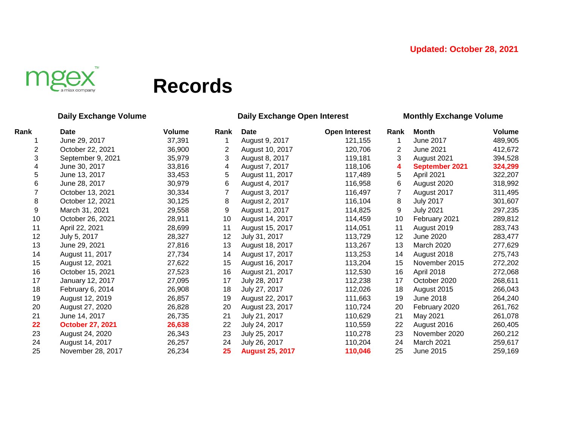

# **Records**

### **Daily Exchange Volume Daily Exchange Open Interest Monthly Exchange Volume**

| Rank | <b>Date</b>             | <b>Volume</b> | Rank | Date                   | <b>Open Interest</b> | Rank | <b>Month</b>      | Volume  |
|------|-------------------------|---------------|------|------------------------|----------------------|------|-------------------|---------|
|      | June 29, 2017           | 37,391        |      | August 9, 2017         | 121,155              |      | June 2017         | 489,905 |
| 2    | October 22, 2021        | 36,900        | 2    | August 10, 2017        | 120,706              | 2    | June 2021         | 412,672 |
| 3    | September 9, 2021       | 35,979        | 3    | August 8, 2017         | 119,181              | 3    | August 2021       | 394,528 |
| 4    | June 30, 2017           | 33,816        | 4    | August 7, 2017         | 118,106              | 4    | September 2021    | 324,299 |
| 5    | June 13, 2017           | 33,453        | 5    | August 11, 2017        | 117,489              | 5    | April 2021        | 322,207 |
| 6    | June 28, 2017           | 30,979        | 6    | August 4, 2017         | 116,958              | 6    | August 2020       | 318,992 |
|      | October 13, 2021        | 30,334        |      | August 3, 2017         | 116,497              |      | August 2017       | 311,495 |
| 8    | October 12, 2021        | 30,125        | 8    | August 2, 2017         | 116,104              | 8    | <b>July 2017</b>  | 301,607 |
| 9    | March 31, 2021          | 29,558        | 9    | August 1, 2017         | 114,825              | 9    | <b>July 2021</b>  | 297,235 |
| 10   | October 26, 2021        | 28,911        | 10   | August 14, 2017        | 114,459              | 10   | February 2021     | 289,812 |
| 11   | April 22, 2021          | 28,699        | 11   | August 15, 2017        | 114,051              | 11   | August 2019       | 283,743 |
| 12   | July 5, 2017            | 28,327        | 12   | July 31, 2017          | 113,729              | 12   | June 2020         | 283,477 |
| 13   | June 29, 2021           | 27,816        | 13   | August 18, 2017        | 113,267              | 13   | March 2020        | 277,629 |
| 14   | August 11, 2017         | 27,734        | 14   | August 17, 2017        | 113,253              | 14   | August 2018       | 275,743 |
| 15   | August 12, 2021         | 27,622        | 15   | August 16, 2017        | 113,204              | 15   | November 2015     | 272,202 |
| 16   | October 15, 2021        | 27,523        | 16   | August 21, 2017        | 112,530              | 16   | April 2018        | 272,068 |
| 17   | January 12, 2017        | 27,095        | 17   | July 28, 2017          | 112,238              | 17   | October 2020      | 268,611 |
| 18   | February 6, 2014        | 26,908        | 18   | July 27, 2017          | 112,026              | 18   | August 2015       | 266,043 |
| 19   | August 12, 2019         | 26,857        | 19   | August 22, 2017        | 111,663              | 19   | June 2018         | 264,240 |
| 20   | August 27, 2020         | 26,828        | 20   | August 23, 2017        | 110,724              | 20   | February 2020     | 261,762 |
| 21   | June 14, 2017           | 26,735        | 21   | July 21, 2017          | 110,629              | 21   | May 2021          | 261,078 |
| 22   | <b>October 27, 2021</b> | 26,638        | 22   | July 24, 2017          | 110,559              | 22   | August 2016       | 260,405 |
| 23   | August 24, 2020         | 26,343        | 23   | July 25, 2017          | 110,278              | 23   | November 2020     | 260,212 |
| 24   | August 14, 2017         | 26,257        | 24   | July 26, 2017          | 110,204              | 24   | <b>March 2021</b> | 259,617 |
| 25   | November 28, 2017       | 26,234        | 25   | <b>August 25, 2017</b> | 110,046              | 25   | June 2015         | 259,169 |